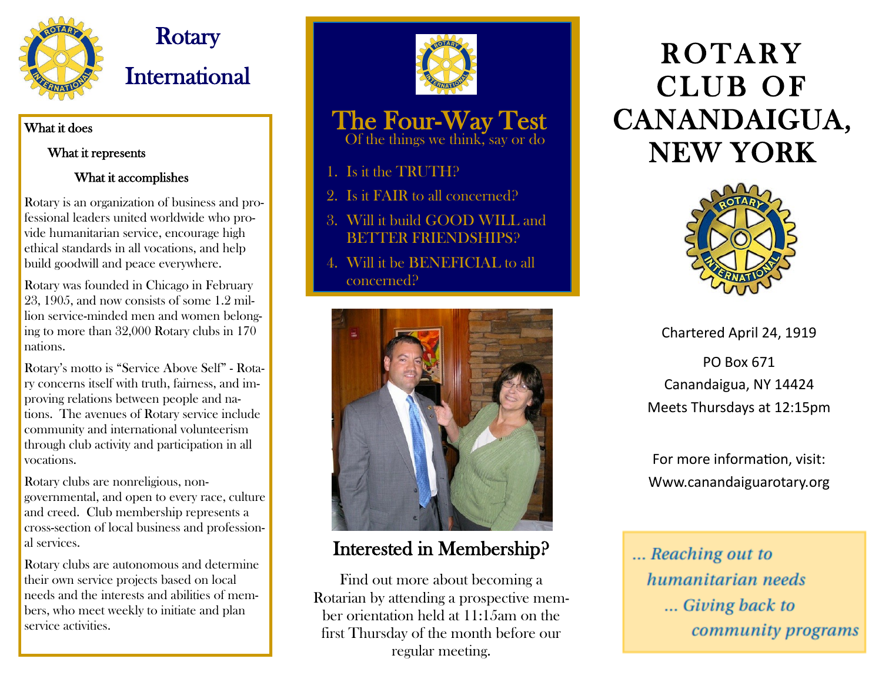

## **Rotary** International

#### What it does

#### What it represents

#### What it accomplishes

Rotary is an organization of business and professional leaders united worldwide who provide humanitarian service, encourage high ethical standards in all vocations, and help build goodwill and peace everywhere.

Rotary was founded in Chicago in February 23, 1905, and now consists of some 1.2 million service-minded men and women belonging to more than 32,000 Rotary clubs in 170 nations.

Rotary's motto is "Service Above Self" - Rotary concerns itself with truth, fairness, and improving relations between people and nations. The avenues of Rotary service include community and international volunteerism through club activity and participation in all vocations.

Rotary clubs are nonreligious, nongovernmental, and open to every race, culture and creed. Club membership represents a cross-section of local business and professional services.

Rotary clubs are autonomous and determine their own service projects based on local needs and the interests and abilities of members, who meet weekly to initiate and plan service activities.



### The Four-Way Test

Of the things we think, say or do

- 1. Is it the TRUTH?
- 2. Is it FAIR to all concerned?
- 3. Will it build GOOD WILL and BETTER FRIENDSHIPS?
- 4. Will it be BENEFICIAL to all concerned?



#### Interested in Membership?

Find out more about becoming a Rotarian by attending a prospective member orientation held at 11:15am on the first Thursday of the month before our regular meeting.

# **ROTARY** CLUB OF CANANDAIGUA, NEW YORK



Chartered April 24, 1919

PO Box 671 Canandaigua, NY 14424 Meets Thursdays at 12:15pm

For more information, visit: Www.canandaiguarotary.org

... Reaching out to humanitarian needs **The State Section** Section community programs